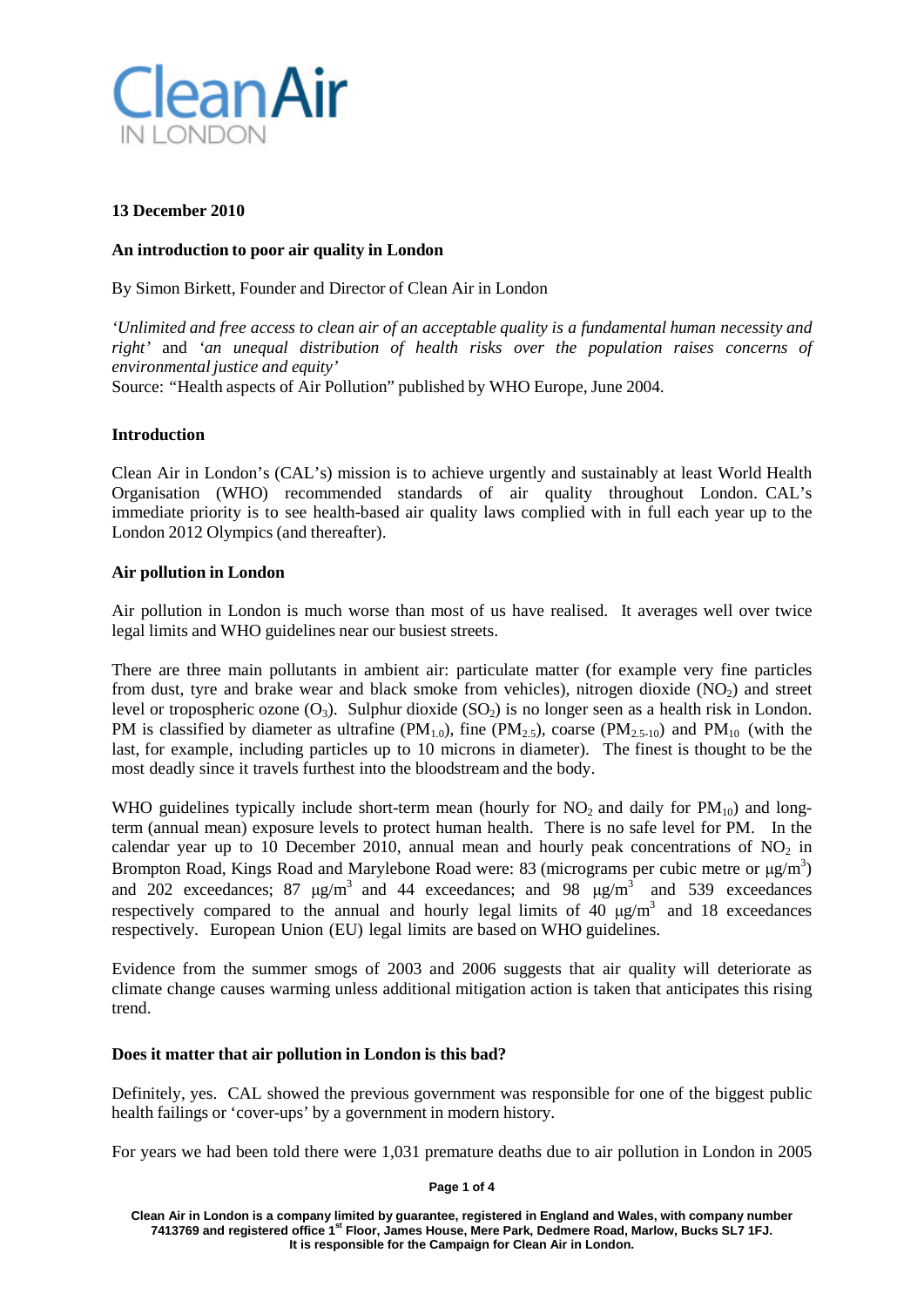

## **13 December 2010**

## **An introduction to poor air quality in London**

By Simon Birkett, Founder and Director of Clean Air in London

*'Unlimited and free access to clean air of an acceptable quality is a fundamental human necessity and right'* and *'an unequal distribution of health risks over the population raises concerns of environmental justice and equity'*

Source: *"*Health aspects of Air Pollution" published by WHO Europe, June 2004.

# **Introduction**

Clean Air in London's (CAL's) mission is to achieve urgently and sustainably at least World Health Organisation (WHO) recommended standards of air quality throughout London. CAL's immediate priority is to see health-based air quality laws complied with in full each year up to the London 2012 Olympics (and thereafter).

# **Air pollution in London**

Air pollution in London is much worse than most of us have realised. It averages well over twice legal limits and WHO guidelines near our busiest streets.

There are three main pollutants in ambient air: particulate matter (for example very fine particles from dust, tyre and brake wear and black smoke from vehicles), nitrogen dioxide  $(NO<sub>2</sub>)$  and street level or tropospheric ozone  $(O_3)$ . Sulphur dioxide (SO<sub>2</sub>) is no longer seen as a health risk in London. PM is classified by diameter as ultrafine ( $PM_{1.0}$ ), fine ( $PM_{2.5}$ ), coarse ( $PM_{2.5-10}$ ) and  $PM_{10}$  (with the last, for example, including particles up to 10 microns in diameter). The finest is thought to be the most deadly since it travels furthest into the bloodstream and the body.

WHO guidelines typically include short-term mean (hourly for  $NO<sub>2</sub>$  and daily for  $PM<sub>10</sub>$ ) and longterm (annual mean) exposure levels to protect human health. There is no safe level for PM. In the calendar year up to 10 December 2010, annual mean and hourly peak concentrations of  $NO<sub>2</sub>$  in Brompton Road, Kings Road and Marylebone Road were: 83 (micrograms per cubic metre or  $\mu$ g/m<sup>3</sup>) and 202 exceedances; 87  $\mu$ g/m<sup>3</sup> and 44 exceedances; and 98  $\mu$ g/m<sup>3</sup> and 539 exceedances respectively compared to the annual and hourly legal limits of 40  $\mu$ g/m<sup>3</sup> and 18 exceedances respectively. European Union (EU) legal limits are based on WHO guidelines.

Evidence from the summer smogs of 2003 and 2006 suggests that air quality will deteriorate as climate change causes warming unless additional mitigation action is taken that anticipates this rising trend.

### **Does it matter that air pollution in London is this bad?**

Definitely, yes. CAL showed the previous government was responsible for one of the biggest public health failings or 'cover-ups' by a government in modern history.

For years we had been told there were 1,031 premature deaths due to air pollution in London in 2005

**Page 1 of 4**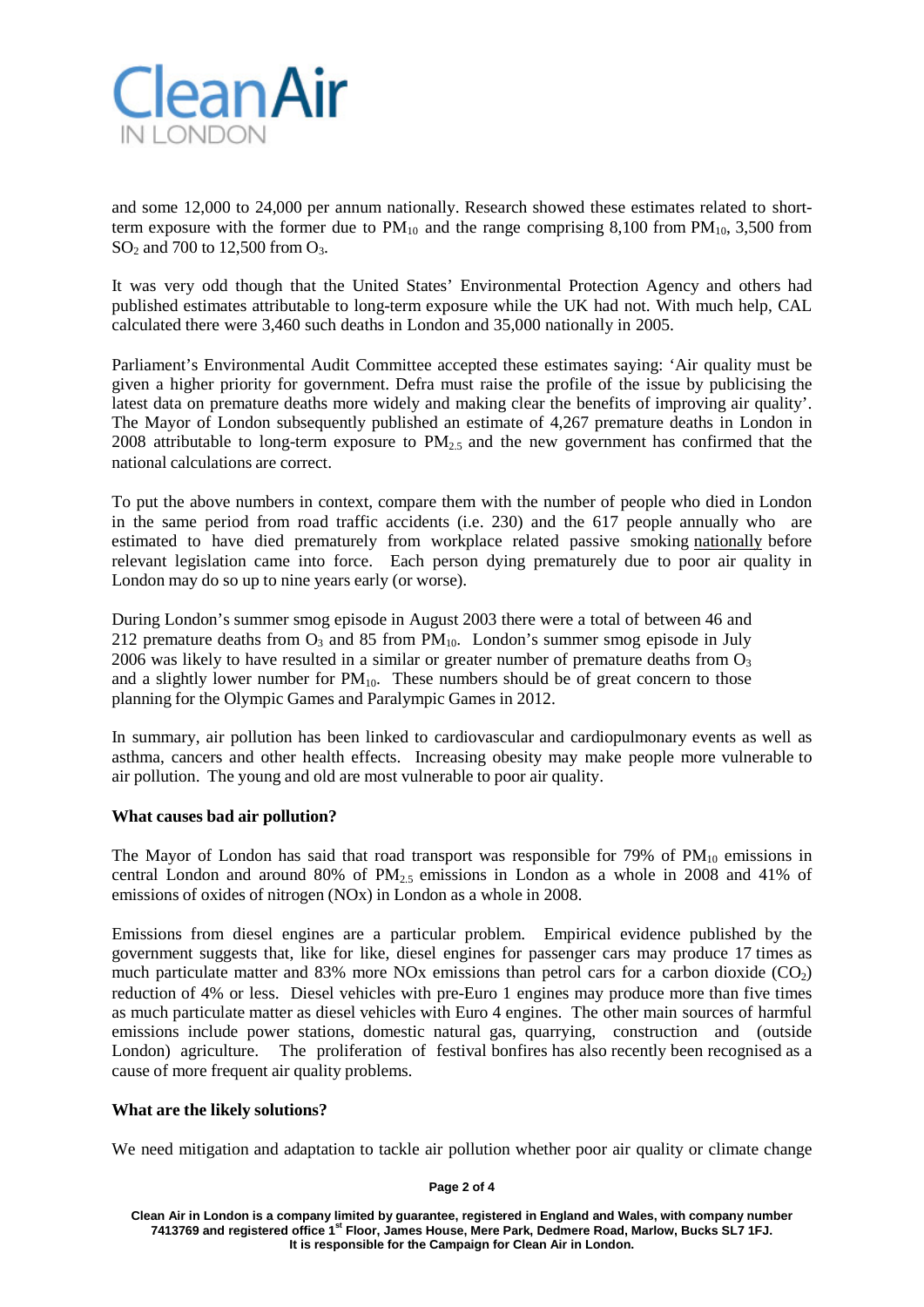

and some 12,000 to 24,000 per annum nationally. Research showed these estimates related to shortterm exposure with the former due to  $PM_{10}$  and the range comprising 8,100 from  $PM_{10}$ , 3,500 from SO<sub>2</sub> and 700 to 12,500 from  $O_3$ .

It was very odd though that the United States' Environmental Protection Agency and others had published estimates attributable to long-term exposure while the UK had not. With much help, CAL calculated there were 3,460 such deaths in London and 35,000 nationally in 2005.

Parliament's Environmental Audit Committee accepted these estimates saying: 'Air quality must be given a higher priority for government. Defra must raise the profile of the issue by publicising the latest data on premature deaths more widely and making clear the benefits of improving air quality'. The Mayor of London subsequently published an estimate of 4,267 premature deaths in London in 2008 attributable to long-term exposure to  $PM_{2.5}$  and the new government has confirmed that the national calculations are correct.

To put the above numbers in context, compare them with the number of people who died in London in the same period from road traffic accidents (i.e. 230) and the 617 people annually who are estimated to have died prematurely from workplace related passive smoking nationally before relevant legislation came into force. Each person dying prematurely due to poor air quality in London may do so up to nine years early (or worse).

During London's summer smog episode in August 2003 there were a total of between 46 and 212 premature deaths from  $O_3$  and 85 from  $PM_{10}$ . London's summer smog episode in July 2006 was likely to have resulted in a similar or greater number of premature deaths from  $O_3$ and a slightly lower number for  $PM_{10}$ . These numbers should be of great concern to those planning for the Olympic Games and Paralympic Games in 2012.

In summary, air pollution has been linked to cardiovascular and cardiopulmonary events as well as asthma, cancers and other health effects. Increasing obesity may make people more vulnerable to air pollution. The young and old are most vulnerable to poor air quality.

### **What causes bad air pollution?**

The Mayor of London has said that road transport was responsible for  $79\%$  of  $PM_{10}$  emissions in central London and around 80% of  $PM<sub>2.5</sub>$  emissions in London as a whole in 2008 and 41% of emissions of oxides of nitrogen (NOx) in London as a whole in 2008.

Emissions from diesel engines are a particular problem. Empirical evidence published by the government suggests that, like for like, diesel engines for passenger cars may produce 17 times as much particulate matter and 83% more NOx emissions than petrol cars for a carbon dioxide  $(CO<sub>2</sub>)$ reduction of 4% or less. Diesel vehicles with pre-Euro 1 engines may produce more than five times as much particulate matter as diesel vehicles with Euro 4 engines. The other main sources of harmful emissions include power stations, domestic natural gas, quarrying, construction and (outside London) agriculture. The proliferation of festival bonfires has also recently been recognised as a cause of more frequent air quality problems.

### **What are the likely solutions?**

We need mitigation and adaptation to tackle air pollution whether poor air quality or climate change

**Page 2 of 4**

**Clean Air in London is a company limited by guarantee, registered in England and Wales, with company number 7413769 and registered office 1st Floor, James House, Mere Park, Dedmere Road, Marlow, Bucks SL7 1FJ. It is responsible for the Campaign for Clean Air in London.**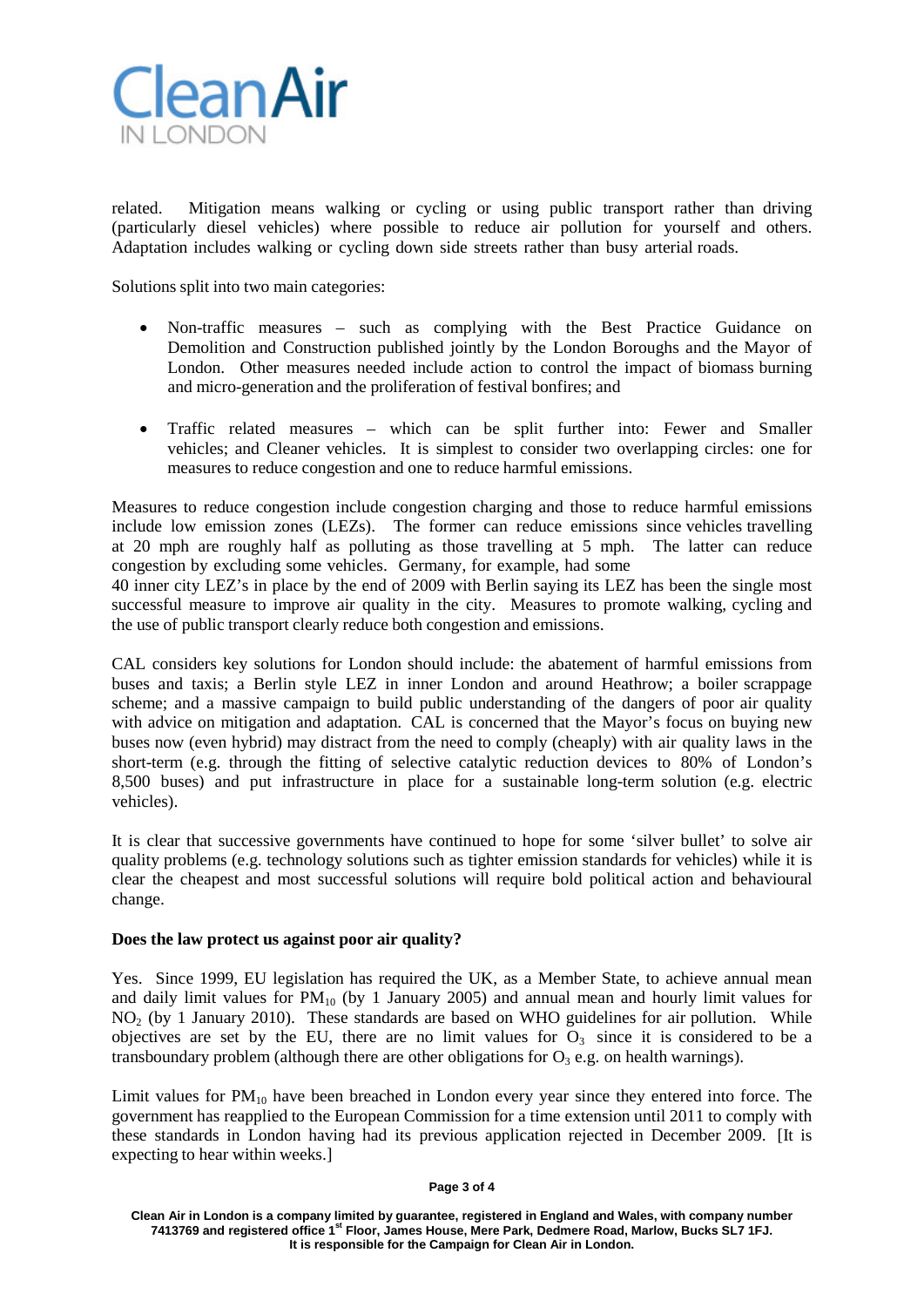

related. Mitigation means walking or cycling or using public transport rather than driving (particularly diesel vehicles) where possible to reduce air pollution for yourself and others. Adaptation includes walking or cycling down side streets rather than busy arterial roads.

Solutions split into two main categories:

- Non-traffic measures such as complying with the Best Practice Guidance on Demolition and Construction published jointly by the London Boroughs and the Mayor of London. Other measures needed include action to control the impact of biomass burning and micro-generation and the proliferation of festival bonfires; and
- Traffic related measures which can be split further into: Fewer and Smaller vehicles; and Cleaner vehicles. It is simplest to consider two overlapping circles: one for measures to reduce congestion and one to reduce harmful emissions.

Measures to reduce congestion include congestion charging and those to reduce harmful emissions include low emission zones (LEZs). The former can reduce emissions since vehicles travelling at 20 mph are roughly half as polluting as those travelling at 5 mph. The latter can reduce congestion by excluding some vehicles. Germany, for example, had some

40 inner city LEZ's in place by the end of 2009 with Berlin saying its LEZ has been the single most successful measure to improve air quality in the city. Measures to promote walking, cycling and the use of public transport clearly reduce both congestion and emissions.

CAL considers key solutions for London should include: the abatement of harmful emissions from buses and taxis; a Berlin style LEZ in inner London and around Heathrow; a boiler scrappage scheme; and a massive campaign to build public understanding of the dangers of poor air quality with advice on mitigation and adaptation. CAL is concerned that the Mayor's focus on buying new buses now (even hybrid) may distract from the need to comply (cheaply) with air quality laws in the short-term (e.g. through the fitting of selective catalytic reduction devices to 80% of London's 8,500 buses) and put infrastructure in place for a sustainable long-term solution (e.g. electric vehicles).

It is clear that successive governments have continued to hope for some 'silver bullet' to solve air quality problems (e.g. technology solutions such as tighter emission standards for vehicles) while it is clear the cheapest and most successful solutions will require bold political action and behavioural change.

### **Does the law protect us against poor air quality?**

Yes. Since 1999, EU legislation has required the UK, as a Member State, to achieve annual mean and daily limit values for  $PM_{10}$  (by 1 January 2005) and annual mean and hourly limit values for NO<sub>2</sub> (by 1 January 2010). These standards are based on WHO guidelines for air pollution. While objectives are set by the EU, there are no limit values for  $O_3$  since it is considered to be a transboundary problem (although there are other obligations for  $O_3$  e.g. on health warnings).

Limit values for  $PM_{10}$  have been breached in London every year since they entered into force. The government has reapplied to the European Commission for a time extension until 2011 to comply with these standards in London having had its previous application rejected in December 2009. [It is expecting to hear within weeks.]